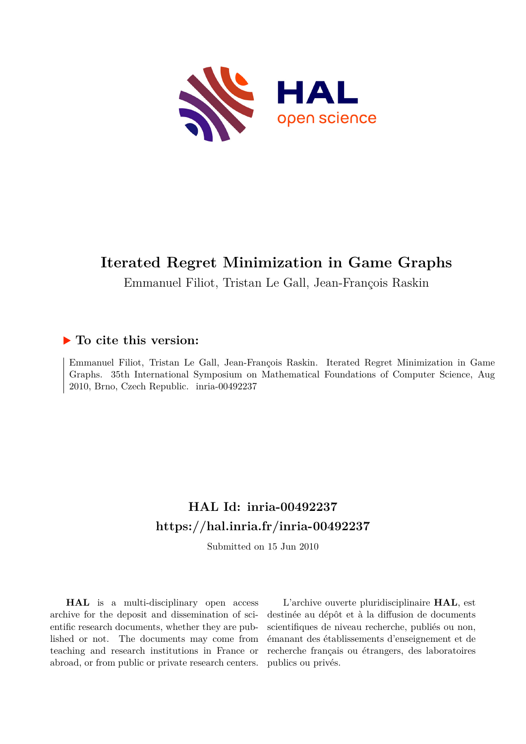

# **Iterated Regret Minimization in Game Graphs**

Emmanuel Filiot, Tristan Le Gall, Jean-François Raskin

## **To cite this version:**

Emmanuel Filiot, Tristan Le Gall, Jean-François Raskin. Iterated Regret Minimization in Game Graphs. 35th International Symposium on Mathematical Foundations of Computer Science, Aug 2010, Brno, Czech Republic. inria-00492237

# **HAL Id: inria-00492237 <https://hal.inria.fr/inria-00492237>**

Submitted on 15 Jun 2010

**HAL** is a multi-disciplinary open access archive for the deposit and dissemination of scientific research documents, whether they are published or not. The documents may come from teaching and research institutions in France or abroad, or from public or private research centers.

L'archive ouverte pluridisciplinaire **HAL**, est destinée au dépôt et à la diffusion de documents scientifiques de niveau recherche, publiés ou non, émanant des établissements d'enseignement et de recherche français ou étrangers, des laboratoires publics ou privés.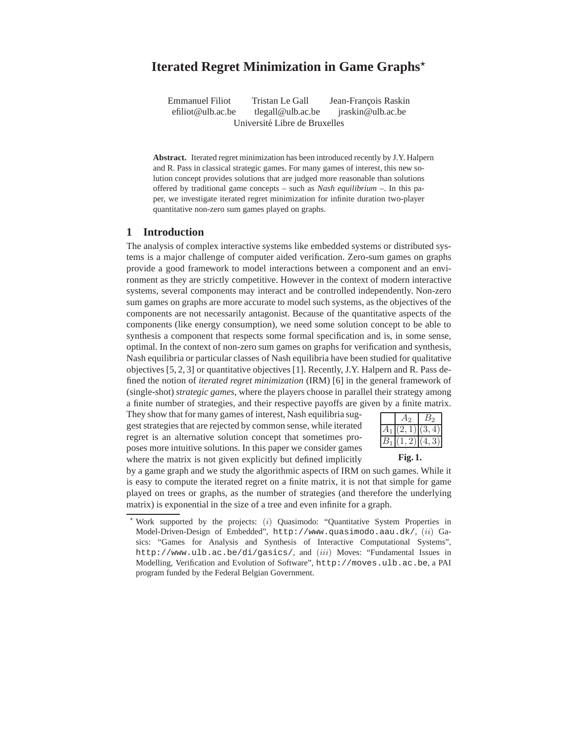## Iterated Regret Minimization in Game Graphs<sup>\*</sup>

Emmanuel Filiot Tristan Le Gall Jean-François Raskin efiliot@ulb.ac.be tlegall@ulb.ac.be jraskin@ulb.ac.be Université Libre de Bruxelles

**Abstract.** Iterated regret minimization has been introduced recently by J.Y. Halpern and R. Pass in classical strategic games. For many games of interest, this new solution concept provides solutions that are judged more reasonable than solutions offered by traditional game concepts – such as *Nash equilibrium* –. In this paper, we investigate iterated regret minimization for infinite duration two-player quantitative non-zero sum games played on graphs.

### **1 Introduction**

The analysis of complex interactive systems like embedded systems or distributed systems is a major challenge of computer aided verification. Zero-sum games on graphs provide a good framework to model interactions between a component and an environment as they are strictly competitive. However in the context of modern interactive systems, several components may interact and be controlled independently. Non-zero sum games on graphs are more accurate to model such systems, as the objectives of the components are not necessarily antagonist. Because of the quantitative aspects of the components (like energy consumption), we need some solution concept to be able to synthesis a component that respects some formal specification and is, in some sense, optimal. In the context of non-zero sum games on graphs for verification and synthesis, Nash equilibria or particular classes of Nash equilibria have been studied for qualitative objectives [5, 2, 3] or quantitative objectives [1]. Recently, J.Y. Halpern and R. Pass defined the notion of *iterated regret minimization* (IRM) [6] in the general framework of (single-shot) *strategic games*, where the players choose in parallel their strategy among a finite number of strategies, and their respective payoffs are given by a finite matrix.

They show that for many games of interest, Nash equilibria suggest strategies that are rejected by common sense, while iterated regret is an alternative solution concept that sometimes proposes more intuitive solutions. In this paper we consider games where the matrix is not given explicitly but defined implicitly

| $A_1$ [(2, 1)](3,<br>$B_1 (1,2) (4,3) $ |  |    |
|-----------------------------------------|--|----|
|                                         |  | 4) |
|                                         |  |    |

**Fig. 1.**

by a game graph and we study the algorithmic aspects of IRM on such games. While it is easy to compute the iterated regret on a finite matrix, it is not that simple for game played on trees or graphs, as the number of strategies (and therefore the underlying matrix) is exponential in the size of a tree and even infinite for a graph.

Work supported by the projects: (i) Quasimodo: "Quantitative System Properties in Model-Driven-Design of Embedded", http://www.quasimodo.aau.dk/, (ii) Gasics: "Games for Analysis and Synthesis of Interactive Computational Systems", http://www.ulb.ac.be/di/gasics/, and (iii) Moves: "Fundamental Issues in Modelling, Verification and Evolution of Software", http://moves.ulb.ac.be, a PAI program funded by the Federal Belgian Government.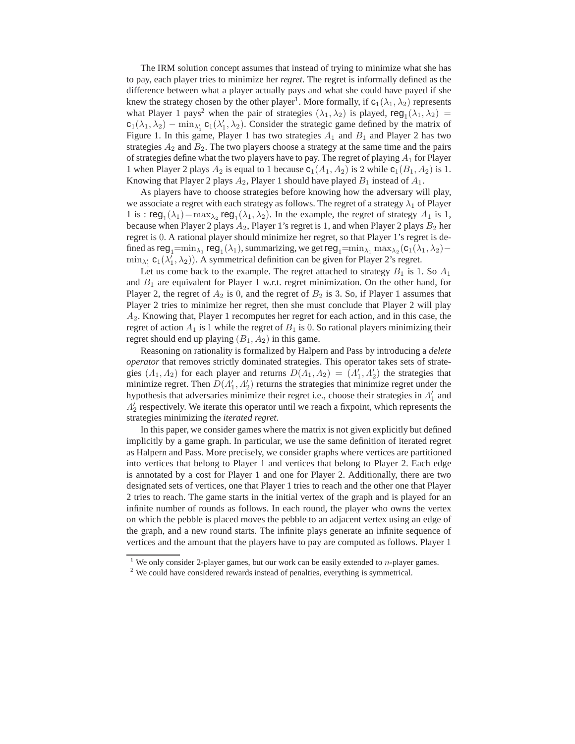The IRM solution concept assumes that instead of trying to minimize what she has to pay, each player tries to minimize her *regret*. The regret is informally defined as the difference between what a player actually pays and what she could have payed if she knew the strategy chosen by the other player<sup>1</sup>. More formally, if  $c_1(\lambda_1, \lambda_2)$  represents what Player 1 pays<sup>2</sup> when the pair of strategies  $(\lambda_1, \lambda_2)$  is played, reg<sub>1</sub> $(\lambda_1, \lambda_2)$  =  $c_1(\lambda_1, \lambda_2) - \min_{\lambda'_1} c_1(\lambda'_1, \lambda_2)$ . Consider the strategic game defined by the matrix of Figure 1. In this game, Player 1 has two strategies  $A_1$  and  $B_1$  and Player 2 has two strategies  $A_2$  and  $B_2$ . The two players choose a strategy at the same time and the pairs of strategies define what the two players have to pay. The regret of playing  $A_1$  for Player 1 when Player 2 plays  $A_2$  is equal to 1 because  $c_1(A_1, A_2)$  is 2 while  $c_1(B_1, A_2)$  is 1. Knowing that Player 2 plays  $A_2$ , Player 1 should have played  $B_1$  instead of  $A_1$ .

As players have to choose strategies before knowing how the adversary will play, we associate a regret with each strategy as follows. The regret of a strategy  $\lambda_1$  of Player 1 is :  $reg_1(\lambda_1) = \max_{\lambda_2} reg_1(\lambda_1, \lambda_2)$ . In the example, the regret of strategy  $A_1$  is 1, because when Player 2 plays  $A_2$ , Player 1's regret is 1, and when Player 2 plays  $B_2$  her regret is 0. A rational player should minimize her regret, so that Player 1's regret is defined as  $\text{reg}_1=\min_{\lambda_1}\text{reg}_1(\lambda_1)$ , summarizing, we get  $\text{reg}_1=\min_{\lambda_1}\max_{\lambda_2}(\text{c}_1(\lambda_1,\lambda_2) \min_{\lambda'_1}$  **c**<sub>1</sub>( $\lambda'_1$ ,  $\lambda_2$ )). A symmetrical definition can be given for Player 2's regret.

Let us come back to the example. The regret attached to strategy  $B_1$  is 1. So  $A_1$ and  $B_1$  are equivalent for Player 1 w.r.t. regret minimization. On the other hand, for Player 2, the regret of  $A_2$  is 0, and the regret of  $B_2$  is 3. So, if Player 1 assumes that Player 2 tries to minimize her regret, then she must conclude that Player 2 will play  $A<sub>2</sub>$ . Knowing that, Player 1 recomputes her regret for each action, and in this case, the regret of action  $A_1$  is 1 while the regret of  $B_1$  is 0. So rational players minimizing their regret should end up playing  $(B_1, A_2)$  in this game.

Reasoning on rationality is formalized by Halpern and Pass by introducing a *delete operator* that removes strictly dominated strategies. This operator takes sets of strategies  $(A_1, A_2)$  for each player and returns  $D(A_1, A_2) = (A'_1, A'_2)$  the strategies that minimize regret. Then  $D(A'_1, A'_2)$  returns the strategies that minimize regret under the hypothesis that adversaries minimize their regret i.e., choose their strategies in  $\Lambda'_1$  and  $\Lambda'_2$  respectively. We iterate this operator until we reach a fixpoint, which represents the strategies minimizing the *iterated regret*.

In this paper, we consider games where the matrix is not given explicitly but defined implicitly by a game graph. In particular, we use the same definition of iterated regret as Halpern and Pass. More precisely, we consider graphs where vertices are partitioned into vertices that belong to Player 1 and vertices that belong to Player 2. Each edge is annotated by a cost for Player 1 and one for Player 2. Additionally, there are two designated sets of vertices, one that Player 1 tries to reach and the other one that Player 2 tries to reach. The game starts in the initial vertex of the graph and is played for an infinite number of rounds as follows. In each round, the player who owns the vertex on which the pebble is placed moves the pebble to an adjacent vertex using an edge of the graph, and a new round starts. The infinite plays generate an infinite sequence of vertices and the amount that the players have to pay are computed as follows. Player 1

<sup>&</sup>lt;sup>1</sup> We only consider 2-player games, but our work can be easily extended to *n*-player games.

<sup>&</sup>lt;sup>2</sup> We could have considered rewards instead of penalties, everything is symmetrical.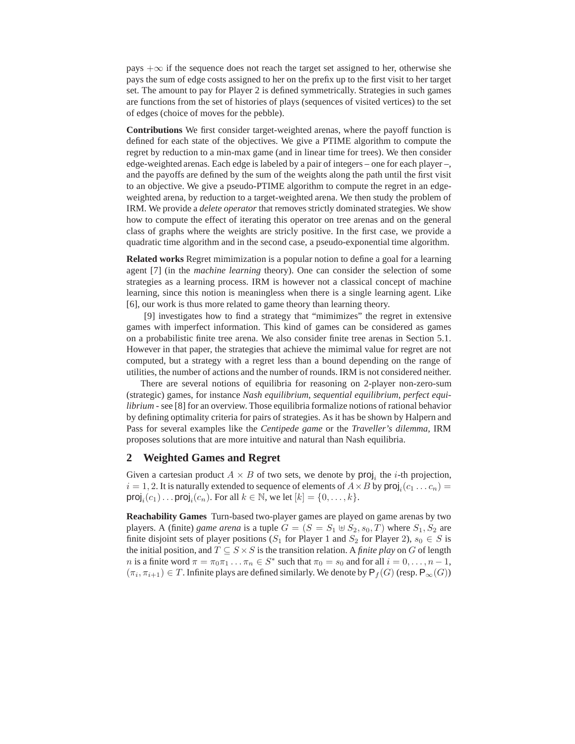pays  $+\infty$  if the sequence does not reach the target set assigned to her, otherwise she pays the sum of edge costs assigned to her on the prefix up to the first visit to her target set. The amount to pay for Player 2 is defined symmetrically. Strategies in such games are functions from the set of histories of plays (sequences of visited vertices) to the set of edges (choice of moves for the pebble).

**Contributions** We first consider target-weighted arenas, where the payoff function is defined for each state of the objectives. We give a PTIME algorithm to compute the regret by reduction to a min-max game (and in linear time for trees). We then consider edge-weighted arenas. Each edge is labeled by a pair of integers – one for each player –, and the payoffs are defined by the sum of the weights along the path until the first visit to an objective. We give a pseudo-PTIME algorithm to compute the regret in an edgeweighted arena, by reduction to a target-weighted arena. We then study the problem of IRM. We provide a *delete operator* that removes strictly dominated strategies. We show how to compute the effect of iterating this operator on tree arenas and on the general class of graphs where the weights are stricly positive. In the first case, we provide a quadratic time algorithm and in the second case, a pseudo-exponential time algorithm.

**Related works** Regret mimimization is a popular notion to define a goal for a learning agent [7] (in the *machine learning* theory). One can consider the selection of some strategies as a learning process. IRM is however not a classical concept of machine learning, since this notion is meaningless when there is a single learning agent. Like [6], our work is thus more related to game theory than learning theory.

[9] investigates how to find a strategy that "mimimizes" the regret in extensive games with imperfect information. This kind of games can be considered as games on a probabilistic finite tree arena. We also consider finite tree arenas in Section 5.1. However in that paper, the strategies that achieve the mimimal value for regret are not computed, but a strategy with a regret less than a bound depending on the range of utilities, the number of actions and the number of rounds. IRM is not considered neither.

There are several notions of equilibria for reasoning on 2-player non-zero-sum (strategic) games, for instance *Nash equilibrium*, *sequential equilibrium*, *perfect equilibrium* - see [8] for an overview. Those equilibria formalize notions of rational behavior by defining optimality criteria for pairs of strategies. As it has be shown by Halpern and Pass for several examples like the *Centipede game* or the *Traveller's dilemma*, IRM proposes solutions that are more intuitive and natural than Nash equilibria.

#### **2 Weighted Games and Regret**

Given a cartesian product  $A \times B$  of two sets, we denote by  $proj_i$  the *i*-th projection,  $i = 1, 2$ . It is naturally extended to sequence of elements of  $A \times B$  by  $\text{proj}_i(c_1 \dots c_n) =$ proj<sub>i</sub> $(c_1) \dots$  proj<sub>i</sub> $(c_n)$ . For all  $k \in \mathbb{N}$ , we let  $[k] = \{0, \dots, k\}$ .

**Reachability Games** Turn-based two-player games are played on game arenas by two players. A (finite) *game arena* is a tuple  $G = (S = S_1 \oplus S_2, s_0, T)$  where  $S_1, S_2$  are finite disjoint sets of player positions ( $S_1$  for Player 1 and  $S_2$  for Player 2),  $s_0 \in S$  is the initial position, and  $T \subseteq S \times S$  is the transition relation. A *finite play* on G of length *n* is a finite word  $\pi = \pi_0 \pi_1 \dots \pi_n \in S^*$  such that  $\pi_0 = s_0$  and for all  $i = 0, \dots, n - 1$ ,  $(\pi_i, \pi_{i+1}) \in T$ . Infinite plays are defined similarly. We denote by  $\mathsf{P}_f(G)$  (resp.  $\mathsf{P}_\infty(G)$ )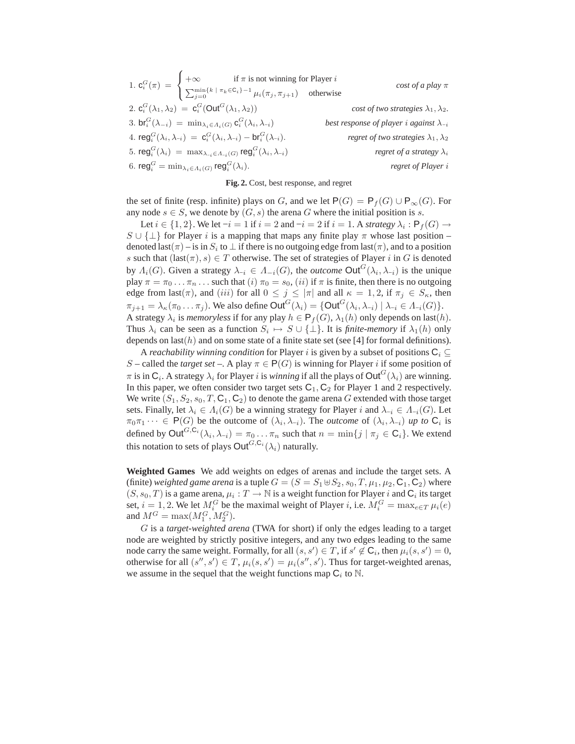|                                                                                                                                                                                                                         | $cost of a play \pi$                             |
|-------------------------------------------------------------------------------------------------------------------------------------------------------------------------------------------------------------------------|--------------------------------------------------|
| 1. $\mathbf{c}_i^G(\pi) = \begin{cases} +\infty & \text{if } \pi \text{ is not winning for Player } i \\ \sum_{j=0}^{\min\{k \mid \pi_k \in \mathsf{C}_i\} - 1} \mu_i(\pi_j, \pi_{j+1}) & \text{otherwise} \end{cases}$ |                                                  |
| 2. $c_i^G(\lambda_1, \lambda_2) = c_i^G(\text{Out}^G(\lambda_1, \lambda_2))$                                                                                                                                            | cost of two strategies $\lambda_1, \lambda_2$ .  |
| 3. br <sub>i</sub> $(\lambda_{-i}) = \min_{\lambda_i \in \Lambda_i(G)} c_i^G(\lambda_i, \lambda_{-i})$                                                                                                                  | best response of player i against $\lambda_{-i}$ |
| 4. reg <sup>G</sup> $(\lambda_i, \lambda_{-i}) = c_i^G(\lambda_i, \lambda_{-i}) - br_i^G(\lambda_{-i}).$                                                                                                                | regret of two strategies $\lambda_1, \lambda_2$  |
| 5. reg <sup>G</sup> ( $\lambda_i$ ) = max $_{\lambda_{-i} \in \Lambda_{-i}(G)}$ reg <sup>G</sup> ( $\lambda_i, \lambda_{-i}$ )                                                                                          | regret of a strategy $\lambda_i$                 |
| 6. reg <sup><math>G</math></sup> = min $\lambda_i \in A_i(G)$ reg $G_i^G(\lambda_i)$ .                                                                                                                                  | regret of Player i                               |

#### **Fig. 2.** Cost, best response, and regret

the set of finite (resp. infinite) plays on G, and we let  $P(G) = P_f(G) \cup P_{\infty}(G)$ . For any node  $s \in S$ , we denote by  $(G, s)$  the arena G where the initial position is s.

Let  $i \in \{1,2\}$ . We let  $-i = 1$  if  $i = 2$  and  $-i = 2$  if  $i = 1$ . A *strategy*  $\lambda_i : \mathsf{P}_f(G) \to$  $S \cup \{\perp\}$  for Player i is a mapping that maps any finite play  $\pi$  whose last position – denoted last $(\pi)$  – is in  $S_i$  to  $\bot$  if there is no outgoing edge from last $(\pi)$ , and to a position s such that  $(last(\pi), s) \in T$  otherwise. The set of strategies of Player i in G is denoted by  $\Lambda_i(G)$ . Given a strategy  $\lambda_{-i} \in \Lambda_{-i}(G)$ , the *outcome* Out<sup> $G$ </sup> $(\lambda_i, \lambda_{-i})$  is the unique play  $\pi = \pi_0 \dots \pi_n \dots$  such that  $(i) \pi_0 = s_0$ ,  $(ii)$  if  $\pi$  is finite, then there is no outgoing edge from last( $\pi$ ), and (iii) for all  $0 \le j \le |\pi|$  and all  $\kappa = 1, 2$ , if  $\pi_j \in S_{\kappa}$ , then  $\pi_{j+1} = \lambda_{\kappa}(\pi_0 \dots \pi_j)$ . We also define  $\text{Out}^G(\lambda_i) = \{ \text{Out}^G(\lambda_i, \lambda_{-i}) \mid \lambda_{-i} \in \Lambda_{-i}(G) \}.$ A strategy  $\lambda_i$  is *memoryless* if for any play  $h \in \mathsf{P}_f(G)$ ,  $\lambda_1(h)$  only depends on last(h). Thus  $\lambda_i$  can be seen as a function  $S_i \mapsto S \cup \{\perp\}$ . It is *finite-memory* if  $\lambda_1(h)$  only depends on last( $h$ ) and on some state of a finite state set (see [4] for formal definitions).

A *reachability winning condition* for Player *i* is given by a subset of positions  $C_i \subseteq$ S – called the *target set* –. A play  $\pi \in P(G)$  is winning for Player *i* if some position of  $\pi$  is in  $C_i$ . A strategy  $\lambda_i$  for Player i is *winning* if all the plays of  $\mathsf{Out}^G(\lambda_i)$  are winning. In this paper, we often consider two target sets  $C_1$ ,  $C_2$  for Player 1 and 2 respectively. We write  $(S_1, S_2, s_0, T, C_1, C_2)$  to denote the game arena G extended with those target sets. Finally, let  $\lambda_i \in \Lambda_i(G)$  be a winning strategy for Player i and  $\lambda_{-i} \in \Lambda_{-i}(G)$ . Let  $\pi_0 \pi_1 \cdots \in \mathsf{P}(G)$  be the outcome of  $(\lambda_i, \lambda_{-i})$ . The *outcome* of  $(\lambda_i, \lambda_{-i})$  up to  $\mathsf{C}_i$  is defined by  $\mathsf{Out}^{G,\mathsf{C}_i}(\lambda_i,\lambda_{-i})=\pi_0\dots\pi_n$  such that  $n=\min\{j\mid \pi_j\in\mathsf{C}_i\}.$  We extend this notation to sets of plays  $\mathsf{Out}^{G,\mathsf{C}_i}(\lambda_i)$  naturally.

**Weighted Games** We add weights on edges of arenas and include the target sets. A (finite) *weighted game arena* is a tuple  $G = (S = S_1 \oplus S_2, s_0, T, \mu_1, \mu_2, C_1, C_2)$  where  $(S, s_0, T)$  is a game arena,  $\mu_i : T \to \mathbb{N}$  is a weight function for Player i and  $\mathbb{C}_i$  its target set,  $i = 1, 2$ . We let  $M_i^G$  be the maximal weight of Player i, i.e.  $M_i^G = \max_{e \in T} \mu_i(e)$ and  $M^G = \max(M_1^G, M_2^G)$ .

G is a *target-weighted arena* (TWA for short) if only the edges leading to a target node are weighted by strictly positive integers, and any two edges leading to the same node carry the same weight. Formally, for all  $(s, s') \in T$ , if  $s' \notin \mathsf{C}_i$ , then  $\mu_i(s, s') = 0$ , otherwise for all  $(s'', s') \in T$ ,  $\mu_i(s, s') = \mu_i(s'', s')$ . Thus for target-weighted arenas, we assume in the sequel that the weight functions map  $C_i$  to  $\mathbb N$ .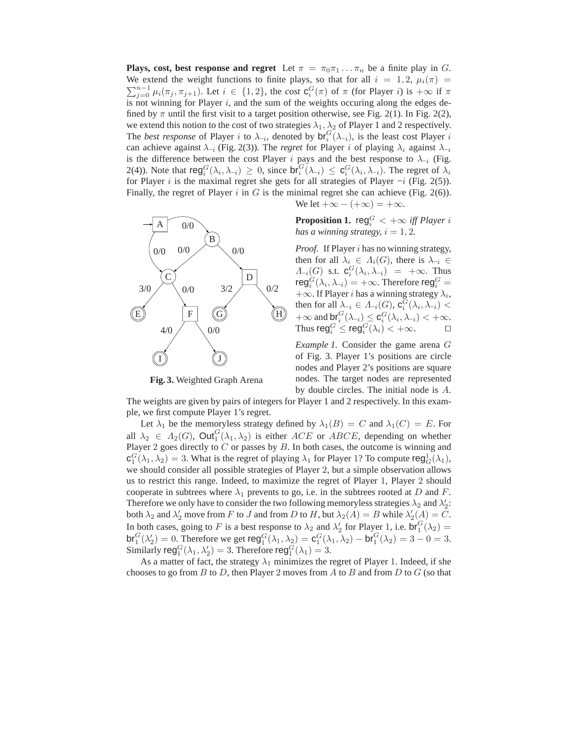**Plays, cost, best response and regret** Let  $\pi = \pi_0 \pi_1 \dots \pi_n$  be a finite play in G. We extend the weight functions to finite plays, so that for all  $i = 1, 2, \mu_i(\pi) =$  $\sum_{j=0}^{n-1} \mu_i(\pi_j, \pi_{j+1})$ . Let  $i \in \{1,2\}$ , the *cost*  $\mathbf{c}_i^G(\pi)$  of  $\pi$  (for Player i) is  $+\infty$  if  $\pi$ is not winning for Player  $i$ , and the sum of the weights occuring along the edges defined by  $\pi$  until the first visit to a target position otherwise, see Fig. 2(1). In Fig. 2(2), we extend this notion to the cost of two strategies  $\lambda_1, \lambda_2$  of Player 1 and 2 respectively. The *best response* of Player *i* to  $\lambda_{-i}$ , denoted by  $\mathsf{br}_i^G(\lambda_{-i})$ , is the least cost Player *i* can achieve against  $\lambda_{-i}$  (Fig. 2(3)). The *regret* for Player i of playing  $\lambda_i$  against  $\lambda_{-i}$ is the difference between the cost Player i pays and the best response to  $\lambda_{-i}$  (Fig. 2(4)). Note that  $\mathsf{reg}_i^G(\lambda_i, \lambda_{-i}) \geq 0$ , since  $\mathsf{br}_i^G(\lambda_{-i}) \leq \mathsf{c}_i^G(\lambda_i, \lambda_{-i})$ . The regret of  $\lambda_i$ for Player i is the maximal regret she gets for all strategies of Player  $-i$  (Fig. 2(5)). Finally, the regret of Player  $i$  in  $G$  is the minimal regret she can achieve (Fig. 2(6)).



**Fig. 3.** Weighted Graph Arena

We let  $+\infty - (+\infty) = +\infty$ .

**Proposition 1.**  $\text{reg}_i^G < +\infty$  *iff Player i has a winning strategy,*  $i = 1, 2$ *.* 

*Proof.* If Player i has no winning strategy, then for all  $\lambda_i \in \Lambda_i(G)$ , there is  $\lambda_{-i} \in$  $\Lambda_{-i}(G)$  s.t.  $\mathbf{c}_i^G(\lambda_i, \lambda_{-i}) = +\infty$ . Thus  $\mathsf{reg}^G_i(\lambda_i,\lambda_{-i})=+\infty.$  Therefore  $\mathsf{reg}^G_i=$  $+\infty$ . If Player *i* has a winning strategy  $\lambda_i$ , then for all  $\lambda_{-i} \in \Lambda_{-i}(G)$ ,  $\mathbf{c}_i^G(\lambda_i, \lambda_{-i})$  <  $+\infty$  and  $\mathsf{br}_i^G(\lambda_{-i}) \leq \mathsf{c}_i^G(\lambda_i, \lambda_{-i}) < +\infty$ . Thus reg $_i^G \le \text{reg}_i^G(\lambda_i) < +\infty$ .  $\Box$ 

*Example 1.* Consider the game arena G of Fig. 3. Player 1's positions are circle nodes and Player 2's positions are square nodes. The target nodes are represented by double circles. The initial node is A.

The weights are given by pairs of integers for Player 1 and 2 respectively. In this example, we first compute Player 1's regret.

Let  $\lambda_1$  be the memoryless strategy defined by  $\lambda_1(B) = C$  and  $\lambda_1(C) = E$ . For all  $\lambda_2 \in A_2(G)$ ,  $Out_1^G(\lambda_1, \lambda_2)$  is either  $ACE$  or  $ABCDE$ , depending on whether Player 2 goes directly to  $C$  or passes by  $B$ . In both cases, the outcome is winning and  $c_1^G(\lambda_1, \lambda_2) = 3$ . What is the regret of playing  $\lambda_1$  for Player 1? To compute reg $_{G}^1(\lambda_1)$ , we should consider all possible strategies of Player 2, but a simple observation allows us to restrict this range. Indeed, to maximize the regret of Player 1, Player 2 should cooperate in subtrees where  $\lambda_1$  prevents to go, i.e. in the subtrees rooted at D and F. Therefore we only have to consider the two following memoryless strategies  $\lambda_2$  and  $\lambda_2'$ : both  $\lambda_2$  and  $\lambda'_2$  move from F to J and from D to H, but  $\lambda_2(A) = B$  while  $\lambda'_2(A) = C$ . In both cases, going to F is a best response to  $\lambda_2$  and  $\lambda'_2$  for Player 1, i.e.  $\mathsf{br}_1^G(\lambda_2)$  =  $\mathsf{br}_1^G(\lambda'_2) = 0.$  Therefore we get  $\mathsf{reg}_1^G(\lambda_1, \lambda_2) = \mathsf{c}_1^G(\lambda_1, \lambda_2) - \mathsf{br}_1^G(\lambda_2) = 3 - 0 = 3.$ Similarly  $\text{reg}_1^G(\lambda_1, \lambda_2') = 3$ . Therefore  $\text{reg}_1^G(\lambda_1) = 3$ .

As a matter of fact, the strategy  $\lambda_1$  minimizes the regret of Player 1. Indeed, if she chooses to go from  $B$  to  $D$ , then Player 2 moves from  $A$  to  $B$  and from  $D$  to  $G$  (so that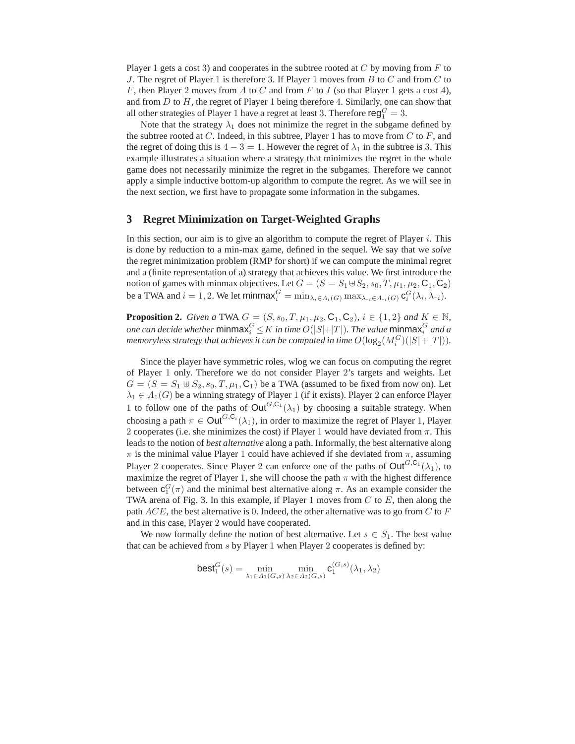Player 1 gets a cost 3) and cooperates in the subtree rooted at  $C$  by moving from  $F$  to J. The regret of Player 1 is therefore 3. If Player 1 moves from B to C and from C to F, then Player 2 moves from A to C and from F to I (so that Player 1 gets a cost 4), and from  $D$  to  $H$ , the regret of Player 1 being therefore 4. Similarly, one can show that all other strategies of Player 1 have a regret at least 3. Therefore  $\mathsf{reg}^G_1 = 3$ .

Note that the strategy  $\lambda_1$  does not minimize the regret in the subgame defined by the subtree rooted at C. Indeed, in this subtree, Player 1 has to move from C to F, and the regret of doing this is  $4 - 3 = 1$ . However the regret of  $\lambda_1$  in the subtree is 3. This example illustrates a situation where a strategy that minimizes the regret in the whole game does not necessarily minimize the regret in the subgames. Therefore we cannot apply a simple inductive bottom-up algorithm to compute the regret. As we will see in the next section, we first have to propagate some information in the subgames.

#### **3 Regret Minimization on Target-Weighted Graphs**

In this section, our aim is to give an algorithm to compute the regret of Player  $i$ . This is done by reduction to a min-max game, defined in the sequel. We say that we *solve* the regret minimization problem (RMP for short) if we can compute the minimal regret and a (finite representation of a) strategy that achieves this value. We first introduce the notion of games with minmax objectives. Let  $G = (S = S_1 \oplus S_2, s_0, T, \mu_1, \mu_2, C_1, C_2)$ be a TWA and  $i = 1, 2$ . We let minmax $G_i^G = \min_{\lambda_i \in \Lambda_i(G)} \max_{\lambda_{-i} \in \Lambda_{-i}(G)} \mathbf{c}_i^G(\lambda_i, \lambda_{-i}).$ 

**Proposition 2.** *Given a* TWA  $G = (S, s_0, T, \mu_1, \mu_2, C_1, C_2)$ *,*  $i \in \{1, 2\}$  *and*  $K \in \mathbb{N}$ *,* one can decide whether  $\mathsf{minmax}^G_i \!\le\! K$  in time  $O(|S|\!\!+\!\!|T|)$ . The value  $\mathsf{minmax}^G_i$  and a memoryless strategy that achieves it can be computed in time  $O(\log_2(M^G_i)(|S|+|T|)).$ 

Since the player have symmetric roles, wlog we can focus on computing the regret of Player 1 only. Therefore we do not consider Player 2's targets and weights. Let  $G = (S = S_1 \oplus S_2, s_0, T, \mu_1, C_1)$  be a TWA (assumed to be fixed from now on). Let  $\lambda_1 \in \Lambda_1(G)$  be a winning strategy of Player 1 (if it exists). Player 2 can enforce Player 1 to follow one of the paths of  $Out^{G,C_1}(\lambda_1)$  by choosing a suitable strategy. When choosing a path  $\pi \in \text{Out}^{G,\text{C}_i}(\lambda_1)$ , in order to maximize the regret of Player 1, Player 2 cooperates (i.e. she minimizes the cost) if Player 1 would have deviated from  $\pi$ . This leads to the notion of *best alternative* along a path. Informally, the best alternative along  $\pi$  is the minimal value Player 1 could have achieved if she deviated from  $\pi$ , assuming Player 2 cooperates. Since Player 2 can enforce one of the paths of  $Out^{G,C_1}(\lambda_1)$ , to maximize the regret of Player 1, she will choose the path  $\pi$  with the highest difference between  $\mathbf{c}_1^G(\pi)$  and the minimal best alternative along  $\pi$ . As an example consider the TWA arena of Fig. 3. In this example, if Player 1 moves from  $C$  to  $E$ , then along the path  $ACE$ , the best alternative is 0. Indeed, the other alternative was to go from  $C$  to  $F$ and in this case, Player 2 would have cooperated.

We now formally define the notion of best alternative. Let  $s \in S_1$ . The best value that can be achieved from  $s$  by Player 1 when Player 2 cooperates is defined by:

$$
\textsf{best}_1^G(s) = \min_{\lambda_1 \in \Lambda_1(G,s)} \min_{\lambda_2 \in \Lambda_2(G,s)} \mathbf{c}_1^{(G,s)}(\lambda_1, \lambda_2)
$$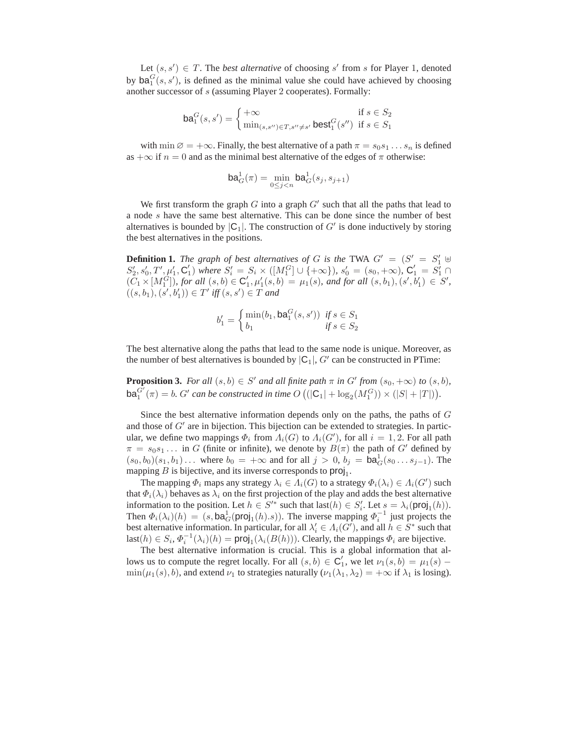Let  $(s, s') \in T$ . The *best alternative* of choosing s' from s for Player 1, denoted by  $\mathsf{ba}_1^G(s, s')$ , is defined as the minimal value she could have achieved by choosing another successor of s (assuming Player 2 cooperates). Formally:

$$
\mathsf{ba}_{1}^{G}(s,s') = \begin{cases} +\infty & \text{if } s \in S_{2} \\ \min_{(s,s'') \in T, s'' \neq s'} \mathsf{best}_{1}^{G}(s'') & \text{if } s \in S_{1} \end{cases}
$$

with min  $\emptyset = +\infty$ . Finally, the best alternative of a path  $\pi = s_0 s_1 \dots s_n$  is defined as  $+\infty$  if  $n = 0$  and as the minimal best alternative of the edges of  $\pi$  otherwise:

$$
\mathsf{ba}_G^1(\pi) = \min_{0 \le j < n} \mathsf{ba}_G^1(s_j, s_{j+1})
$$

We first transform the graph  $G$  into a graph  $G'$  such that all the paths that lead to a node s have the same best alternative. This can be done since the number of best alternatives is bounded by  $|C_1|$ . The construction of  $G'$  is done inductively by storing the best alternatives in the positions.

**Definition 1.** *The graph of best alternatives of* G *is the* TWA  $G' = (S' = S'_1 \oplus S'_2)$  $S'_2, s'_0, T', \mu'_1, C'_1$  where  $S'_i = S_i \times ([M_1^G] \cup \{+\infty\})$ ,  $s'_0 = (s_0, +\infty)$ ,  $C'_1 = S'_1 \cap$  $(C_1 \times [M_1^G])$ , for all  $(s, b) \in C'_1$ ,  $\mu'_1(s, b) = \mu_1(s)$ , and for all  $(s, b_1), (s', b'_1) \in S'$ ,  $((s, b_1), (s', b'_1)) \in T'$  iff  $(s, s') \in T$  and

$$
b'_1 = \begin{cases} \min(b_1, \mathbf{ba}_1^G(s, s')) & \text{if } s \in S_1 \\ b_1 & \text{if } s \in S_2 \end{cases}
$$

The best alternative along the paths that lead to the same node is unique. Moreover, as the number of best alternatives is bounded by  $|C_1|$ ,  $G'$  can be constructed in PTime:

**Proposition 3.** For all  $(s, b) \in S'$  and all finite path  $\pi$  in  $G'$  from  $(s_0, +\infty)$  to  $(s, b)$ ,  $\mathsf{ba}_1^{\tilde{G'}}(\pi) = b$ . G' can be constructed in time  $O\left( (|\mathsf{C}_1| + \log_2(M_1^G)) \times (|S| + |T|) \right)$ .

Since the best alternative information depends only on the paths, the paths of G and those of G' are in bijection. This bijection can be extended to strategies. In particular, we define two mappings  $\Phi_i$  from  $\Lambda_i(G)$  to  $\Lambda_i(G')$ , for all  $i = 1, 2$ . For all path  $\pi = s_0 s_1 \dots$  in G (finite or infinite), we denote by  $B(\pi)$  the path of G' defined by  $(s_0, b_0)(s_1, b_1) \dots$  where  $b_0 = +\infty$  and for all  $j > 0$ ,  $b_j = ba_G^1(s_0 \dots s_{j-1})$ . The mapping  $B$  is bijective, and its inverse corresponds to  $\text{proj}_1$ .

The mapping  $\Phi_i$  maps any strategy  $\lambda_i \in \Lambda_i(G)$  to a strategy  $\Phi_i(\lambda_i) \in \Lambda_i(G')$  such that  $\Phi_i(\lambda_i)$  behaves as  $\lambda_i$  on the first projection of the play and adds the best alternative information to the position. Let  $h \in S'^*$  such that last $(h) \in S'_i$ . Let  $s = \lambda_i(\text{proj}_1(h))$ . Then  $\Phi_i(\lambda_i)(h) = (s, \text{ba}_G^1(\text{proj}_1(h).s))$ . The inverse mapping  $\Phi_i^{-1}$  just projects the best alternative information. In particular, for all  $\lambda'_i \in \Lambda_i(G')$ , and all  $h \in S^*$  such that last $(h) \in S_i$ ,  $\Phi_i^{-1}(\lambda_i)(h) = \text{proj}_1(\lambda_i(B(h)))$ . Clearly, the mappings  $\Phi_i$  are bijective.

The best alternative information is crucial. This is a global information that allows us to compute the regret locally. For all  $(s, b) \in C'_1$ , we let  $\nu_1(s, b) = \mu_1(s)$  $\min(\mu_1(s), b)$ , and extend  $\nu_1$  to strategies naturally  $(\nu_1(\lambda_1, \lambda_2) = +\infty$  if  $\lambda_1$  is losing).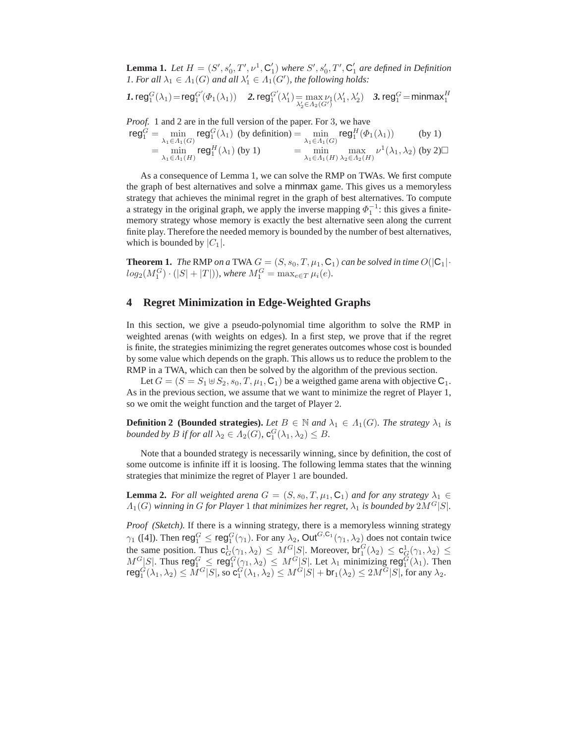**Lemma 1.** Let  $H = (S', s'_0, T', \nu^1, C'_1)$  where  $S', s'_0, T', C'_1$  are defined in Definition *1. For all*  $\lambda_1 \in \Lambda_1(G)$  *and all*  $\lambda'_1 \in \Lambda_1(G')$ *, the following holds:* 

$$
\textbf{1. reg}_{1}^{G}(\lambda_{1}) = \text{reg}_{1}^{G'}(\Phi_{1}(\lambda_{1})) \quad \textbf{2. reg}_{1}^{G'}(\lambda_{1}') = \max_{\lambda_{2}' \in \Lambda_{2}(G')} (\lambda_{1}', \lambda_{2}') \quad \textbf{3. reg}_{1}^{G} = \text{minmax}_{1}
$$

*Proof.* 1 and 2 are in the full version of the paper. For 3, we have

$$
\begin{aligned}\n\mathbf{reg}_1^G &= \min_{\lambda_1 \in \Lambda_1(G)} \mathbf{reg}_1^G(\lambda_1) \text{ (by definition)} = \min_{\lambda_1 \in \Lambda_1(G)} \mathbf{reg}_1^H(\Phi_1(\lambda_1)) \qquad \text{(by 1)} \\
&= \min_{\lambda_1 \in \Lambda_1(H)} \mathbf{reg}_1^H(\lambda_1) \text{ (by 1)} \\
&= \min_{\lambda_1 \in \Lambda_1(H)} \max_{\lambda_2 \in \Lambda_2(H)} \nu^1(\lambda_1, \lambda_2) \text{ (by 2)}\n\end{aligned}
$$

As a consequence of Lemma 1, we can solve the RMP on TWAs. We first compute the graph of best alternatives and solve a minmax game. This gives us a memoryless strategy that achieves the minimal regret in the graph of best alternatives. To compute a strategy in the original graph, we apply the inverse mapping  $\Phi_1^{-1}$ : this gives a finitememory strategy whose memory is exactly the best alternative seen along the current finite play. Therefore the needed memory is bounded by the number of best alternatives, which is bounded by  $|C_1|$ .

**Theorem 1.** *The* RMP *on a* TWA  $G = (S, s_0, T, \mu_1, C_1)$  *can be solved in time*  $O(|C_1| \cdot$  $log_2(M_1^G) \cdot (|S| + |T|)$ ), where  $M_1^G = \max_{e \in T} \mu_i(e)$ .

### **4 Regret Minimization in Edge-Weighted Graphs**

In this section, we give a pseudo-polynomial time algorithm to solve the RMP in weighted arenas (with weights on edges). In a first step, we prove that if the regret is finite, the strategies minimizing the regret generates outcomes whose cost is bounded by some value which depends on the graph. This allows us to reduce the problem to the RMP in a TWA, which can then be solved by the algorithm of the previous section.

Let  $G = (S = S_1 \oplus S_2, s_0, T, \mu_1, C_1)$  be a weigthed game arena with objective  $C_1$ . As in the previous section, we assume that we want to minimize the regret of Player 1, so we omit the weight function and the target of Player 2.

**Definition 2 (Bounded strategies).** *Let*  $B \in \mathbb{N}$  *and*  $\lambda_1 \in \Lambda_1(G)$ *. The strategy*  $\lambda_1$  *is* bounded by *B* if for all  $\lambda_2 \in \Lambda_2(G)$ ,  $\mathbf{c}_1^G(\lambda_1, \lambda_2) \leq B$ .

Note that a bounded strategy is necessarily winning, since by definition, the cost of some outcome is infinite iff it is loosing. The following lemma states that the winning strategies that minimize the regret of Player 1 are bounded.

**Lemma 2.** *For all weighted arena*  $G = (S, s_0, T, \mu_1, C_1)$  *and for any strategy*  $\lambda_1 \in$  $\Lambda_1(G)$  winning in G for Player 1 that minimizes her regret,  $\lambda_1$  is bounded by  $2M^G|S|$ .

*Proof (Sketch).* If there is a winning strategy, there is a memoryless winning strategy  $\gamma_1$  ([4]). Then  $\text{reg}_1^G \leq \text{reg}_1^G(\gamma_1)$ . For any  $\lambda_2$ , Out $^{G,C_1}(\gamma_1, \lambda_2)$  does not contain twice the same position. Thus  $c_G^1(\gamma_1, \lambda_2) \leq M^G[S]$ . Moreover,  $br_1^G(\lambda_2) \leq c_G^1(\gamma_1, \lambda_2) \leq$  $M^G[S]$ . Thus reg $^G_1 \leq \text{reg}_1^G(\gamma_1, \lambda_2) \leq M^G[S]$ . Let  $\lambda_1$  minimizing reg $^G_1(\lambda_1)$ . Then  ${\sf reg}_1^G(\lambda_1,\lambda_2)\leq M^G[S],$  so  ${\sf c}_1^G(\lambda_1,\lambda_2)\leq M^G[S]+{\sf br}_1(\lambda_2)\leq 2M^G[S],$  for any  $\lambda_2.$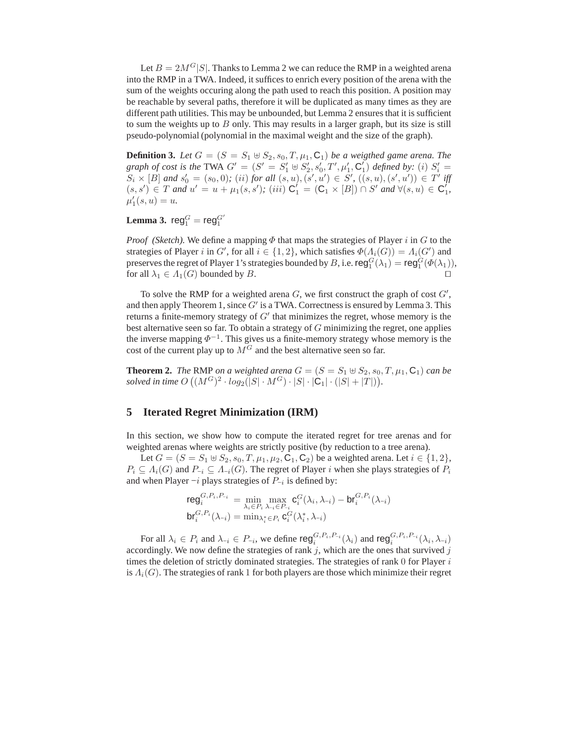Let  $B = 2M<sup>G</sup>|S|$ . Thanks to Lemma 2 we can reduce the RMP in a weighted arena into the RMP in a TWA. Indeed, it suffices to enrich every position of the arena with the sum of the weights occuring along the path used to reach this position. A position may be reachable by several paths, therefore it will be duplicated as many times as they are different path utilities. This may be unbounded, but Lemma 2 ensures that it is sufficient to sum the weights up to  $B$  only. This may results in a larger graph, but its size is still pseudo-polynomial (polynomial in the maximal weight and the size of the graph).

**Definition 3.** *Let*  $G = (S = S_1 \oplus S_2, s_0, T, \mu_1, C_1)$  *be a weigthed game arena. The graph of cost is the* TWA  $G' = (S' = S'_1 \oplus S'_2, s'_0, T', \mu'_1, C'_1)$  *defined by:* (*i*)  $S'_i$  $S_i \times [B]$  and  $s'_0 = (s_0, 0)$ ; (ii) for all  $(s, u), (s', u') \in S'$ ,  $((s, u), (s', u')) \in T'$  iff  $(s, s') \in T$  *and*  $u' = u + \mu_1(s, s')$ ; (*iii*)  $C'_1 = (C_1 \times [B]) \cap S'$  *and*  $\forall (s, u) \in C'_1$ ,  $\mu'_1(s, u) = u.$ 

**Lemma 3.**  $reg_1^G = reg_1^{G'}$ 

*Proof (Sketch).* We define a mapping  $\Phi$  that maps the strategies of Player i in G to the strategies of Player i in G', for all  $i \in \{1,2\}$ , which satisfies  $\Phi(\Lambda_i(G)) = \Lambda_i(G')$  and preserves the regret of Player 1's strategies bounded by  $B$ , i.e.  $\mathsf{reg}_1^G(\lambda_1) = \mathsf{reg}_1^G(\Phi(\lambda_1)),$ for all  $\lambda_1 \in \Lambda_1(G)$  bounded by B. □

To solve the RMP for a weighted arena  $G$ , we first construct the graph of cost  $G'$ , and then apply Theorem 1, since  $G'$  is a TWA. Correctness is ensured by Lemma 3. This returns a finite-memory strategy of  $G'$  that minimizes the regret, whose memory is the best alternative seen so far. To obtain a strategy of  $G$  minimizing the regret, one applies the inverse mapping  $\Phi^{-1}$ . This gives us a finite-memory strategy whose memory is the cost of the current play up to  $M<sup>G</sup>$  and the best alternative seen so far.

**Theorem 2.** *The* RMP *on a weighted arena*  $G = (S = S_1 \oplus S_2, s_0, T, \mu_1, C_1)$  *can be*  $solved\ in\ time\ O\left((M^G)^2\cdot log_2(|S|\cdot M^G)\cdot |S|\cdot |\mathsf{C_1}|\cdot (|S|+|T|)\right)$ .

#### **5 Iterated Regret Minimization (IRM)**

In this section, we show how to compute the iterated regret for tree arenas and for weighted arenas where weights are strictly positive (by reduction to a tree arena).

Let  $G = (S = S_1 \oplus S_2, s_0, T, \mu_1, \mu_2, C_1, C_2)$  be a weighted arena. Let  $i \in \{1, 2\}$ ,  $P_i \subseteq \Lambda_i(G)$  and  $P_{-i} \subseteq \Lambda_{-i}(G)$ . The regret of Player i when she plays strategies of  $P_i$ and when Player  $-i$  plays strategies of  $P_{-i}$  is defined by:

$$
\begin{array}{lll} \mathsf{reg}^{G, P_i, P_{-i}}_i & = \min_{\lambda_i \in P_i} \max_{\lambda_i \in P_{-i}} \mathbf{c}^G_i(\lambda_i, \lambda_{-i}) - \mathsf{br}^{G, P_i}_i(\lambda_{-i}) \\ \mathsf{br}^{G, P_i}_i(\lambda_{-i}) & = \min_{\lambda_i^* \in P_i} \mathbf{c}^G_i(\lambda_i^*, \lambda_{-i}) \end{array}
$$

For all  $\lambda_i \in P_i$  and  $\lambda_{-i} \in P_{-i}$ , we define  $\text{reg}_i^{G, P_i, P_{-i}}(\lambda_i)$  and  $\text{reg}_i^{G, P_i, P_{-i}}(\lambda_i, \lambda_{-i})$ accordingly. We now define the strategies of rank  $j$ , which are the ones that survived  $j$ times the deletion of strictly dominated strategies. The strategies of rank  $\theta$  for Player  $i$ is  $\Lambda_i(G)$ . The strategies of rank 1 for both players are those which minimize their regret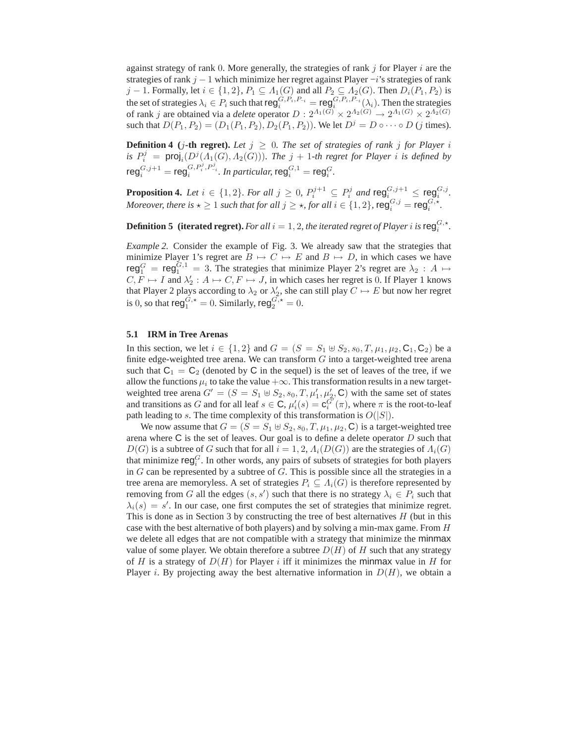against strategy of rank 0. More generally, the strategies of rank  $j$  for Player  $i$  are the strategies of rank  $j - 1$  which minimize her regret against Player  $-i$ 's strategies of rank j − 1. Formally, let  $i \in \{1,2\}$ ,  $P_1 \subseteq \Lambda_1(G)$  and all  $P_2 \subseteq \Lambda_2(G)$ . Then  $D_i(P_1, P_2)$  is the set of strategies  $\lambda_i \in P_i$  such that  $\text{reg}_i^{G, P_i, P_{-i}} = \text{reg}_i^{G, P_i, P_{-i}}(\lambda_i)$ . Then the strategies of rank j are obtained via a *delete* operator  $D: 2^{\Lambda_1(G)} \times 2^{\Lambda_2(G)} \to 2^{\Lambda_1(G)} \times 2^{\Lambda_2(G)}$ such that  $D(P_1, P_2) = (D_1(P_1, P_2), D_2(P_1, P_2))$ . We let  $D^j = D \circ \cdots \circ D$  (j times).

**Definition 4** (*j*-th regret). Let  $j \geq 0$ . The set of strategies of rank *j* for Player *i is*  $P_i^j$  = proj<sub>i</sub> $(D^j(A_1(G), A_2(G)))$ *. The*  $j + 1$ -th regret for Player *i is defined by*  $\mathsf{reg}^{G,j+1}_i = \mathsf{reg}^{G,P_i^j,P_{-i}^j}_i.$  In particular,  $\mathsf{reg}^{G,1}_i = \mathsf{reg}^{G}_i.$ 

**Proposition 4.** Let  $i \in \{1,2\}$ . For all  $j \geq 0$ ,  $P_i^{j+1} \subseteq P_i^j$  and  $\text{reg}_i^{G,j+1} \leq \text{reg}_i^{G,j}$ . *Moreover, there is*  $\star \geq 1$  *such that for all*  $j \geq \star$ *, for all*  $i \in \{1, 2\}$ ,  $\text{reg}_i^{G,j} = \text{reg}_i^{G,\star}$ .

**Definition 5** (iterated regret). *For all*  $i = 1, 2$ , the iterated regret of Player *i* is reg<sup>*G*</sup>,\*.

*Example 2.* Consider the example of Fig. 3. We already saw that the strategies that minimize Player 1's regret are  $B \mapsto C \mapsto E$  and  $B \mapsto D$ , in which cases we have reg $G_1^G$  = reg $G_1^{G,1}$  = 3. The strategies that minimize Player 2's regret are  $\lambda_2$  : A  $\mapsto$  $C, F \mapsto I$  and  $\lambda'_2 : A \mapsto C, F \mapsto J$ , in which cases her regret is 0. If Player 1 knows that Player 2 plays according to  $\lambda_2$  or  $\lambda_2'$ , she can still play  $C \mapsto E$  but now her regret is 0, so that  $\mathsf{reg}^{G,\star}_1 = 0$ . Similarly,  $\mathsf{reg}^{G,\star}_2 = 0$ .

#### **5.1 IRM in Tree Arenas**

In this section, we let  $i \in \{1,2\}$  and  $G = (S = S_1 \oplus S_2, s_0, T, \mu_1, \mu_2, C_1, C_2)$  be a finite edge-weighted tree arena. We can transform  $G$  into a target-weighted tree arena such that  $C_1 = C_2$  (denoted by C in the sequel) is the set of leaves of the tree, if we allow the functions  $\mu_i$  to take the value  $+\infty$ . This transformation results in a new targetweighted tree arena  $G' = (S = S_1 \oplus S_2, s_0, T, \mu'_1, \mu'_2, \mathbb{C})$  with the same set of states and transitions as G and for all leaf  $s \in \mathbb{C}$ ,  $\mu'_i(s) = \mathbf{c}^{G'}_i(\pi)$ , where  $\pi$  is the root-to-leaf path leading to s. The time complexity of this transformation is  $O(|S|)$ .

We now assume that  $G = (S = S_1 \oplus S_2, s_0, T, \mu_1, \mu_2, \mathbf{C})$  is a target-weighted tree arena where  $C$  is the set of leaves. Our goal is to define a delete operator  $D$  such that  $D(G)$  is a subtree of G such that for all  $i = 1, 2, \Lambda_i(D(G))$  are the strategies of  $\Lambda_i(G)$ that minimize  $\text{reg}_i^G$ . In other words, any pairs of subsets of strategies for both players in  $G$  can be represented by a subtree of  $G$ . This is possible since all the strategies in a tree arena are memoryless. A set of strategies  $P_i \subseteq A_i(G)$  is therefore represented by removing from G all the edges  $(s, s')$  such that there is no strategy  $\lambda_i \in P_i$  such that  $\lambda_i(s) = s'$ . In our case, one first computes the set of strategies that minimize regret. This is done as in Section 3 by constructing the tree of best alternatives  $H$  (but in this case with the best alternative of both players) and by solving a min-max game. From H we delete all edges that are not compatible with a strategy that minimize the minmax value of some player. We obtain therefore a subtree  $D(H)$  of H such that any strategy of H is a strategy of  $D(H)$  for Player i iff it minimizes the minmax value in H for Player *i*. By projecting away the best alternative information in  $D(H)$ , we obtain a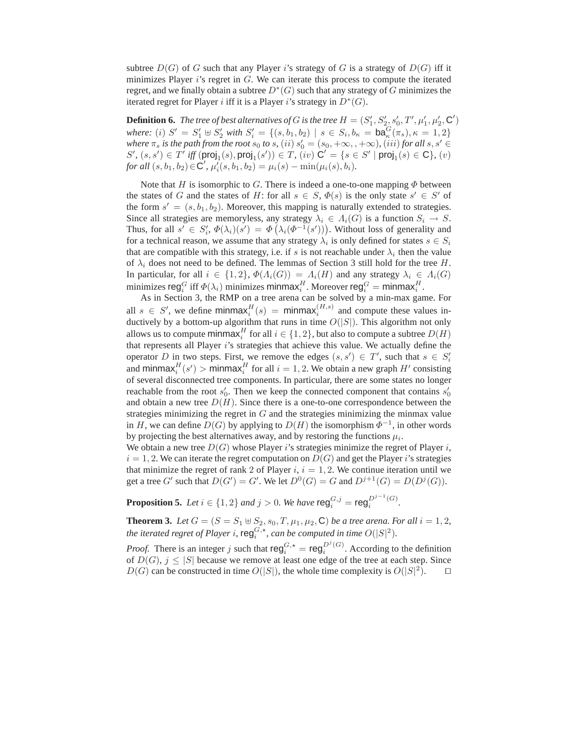subtree  $D(G)$  of G such that any Player i's strategy of G is a strategy of  $D(G)$  iff it minimizes Player  $i$ 's regret in  $G$ . We can iterate this process to compute the iterated regret, and we finally obtain a subtree  $D^*(G)$  such that any strategy of G minimizes the iterated regret for Player i iff it is a Player i's strategy in  $D^*(G)$ .

**Definition 6.** The tree of best alternatives of G is the tree  $H = (S'_1, S'_2, s'_0, T', \mu'_1, \mu'_2, \mathbf{C}')$ *where:* (*i*)  $S' = S'_1 \oplus S'_2$  *with*  $S'_i = \{(s, b_1, b_2) \mid s \in S_i, b_{\kappa} = ba_{\kappa}^G(\pi_s), \kappa = 1, 2\}$ *where*  $\pi_s$  *is the path from the root*  $s_0$  *to*  $s$ *,*  $(ii)$   $s'_0 = (s_0, +\infty, +\infty)$ *,*  $(iii)$  *for all*  $s, s' \in$  $S', (s, s') \in T'$  iff  $(proj_1(s), proj_1(s')) \in T$ ,  $(iv)$   $C' = \{s \in S' \mid proj_1(s) \in C\}$ ,  $(v)$ *for all*  $(s, b_1, b_2) \in \mathbb{C}'$ ,  $\mu'_i(s, b_1, b_2) = \mu_i(s) - \min(\mu_i(s), b_i)$ .

Note that H is isomorphic to G. There is indeed a one-to-one mapping  $\Phi$  between the states of G and the states of H: for all  $s \in S$ ,  $\Phi(s)$  is the only state  $s' \in S'$  of the form  $s' = (s, b_1, b_2)$ . Moreover, this mapping is naturally extended to strategies. Since all strategies are memoryless, any strategy  $\lambda_i \in \Lambda_i(G)$  is a function  $S_i \to S$ . Thus, for all  $s' \in S'_i$ ,  $\Phi(\lambda_i)(s') = \Phi(\lambda_i(\Phi^{-1}(s')))$ . Without loss of generality and for a technical reason, we assume that any strategy  $\lambda_i$  is only defined for states  $s \in S_i$ that are compatible with this strategy, i.e. if s is not reachable under  $\lambda_i$  then the value of  $\lambda_i$  does not need to be defined. The lemmas of Section 3 still hold for the tree H. In particular, for all  $i \in \{1,2\}$ ,  $\Phi(\Lambda_i(G)) = \Lambda_i(H)$  and any strategy  $\lambda_i \in \Lambda_i(G)$ minimizes  $\mathsf{reg}^G_i$  iff  $\varPhi(\lambda_i)$  minimizes  $\mathsf{minmax}^H_i$ . Moreover  $\mathsf{reg}^G_i = \mathsf{minmax}^H_i$ .

As in Section 3, the RMP on a tree arena can be solved by a min-max game. For all  $s \in S'$ , we define minmax $_{i}^{H}(s) = \text{minmax}_{i}^{(H,s)}$  and compute these values inductively by a bottom-up algorithm that runs in time  $O(|S|)$ . This algorithm not only allows us to compute  $\mathsf{minmax}^H_i$  for all  $i \in \{1,2\},$  but also to compute a subtree  $D(H)$ that represents all Player i's strategies that achieve this value. We actually define the operator D in two steps. First, we remove the edges  $(s, s') \in T'$ , such that  $s \in S'_i$ and minmax $_i^H(s')$  > minmax $_i^H$  for all  $i = 1, 2$ . We obtain a new graph  $H'$  consisting of several disconnected tree components. In particular, there are some states no longer reachable from the root  $s'_0$ . Then we keep the connected component that contains  $s'_0$ and obtain a new tree  $D(H)$ . Since there is a one-to-one correspondence between the strategies minimizing the regret in  $G$  and the strategies minimizing the minmax value in H, we can define  $D(G)$  by applying to  $D(H)$  the isomorphism  $\Phi^{-1}$ , in other words by projecting the best alternatives away, and by restoring the functions  $\mu_i$ .

We obtain a new tree  $D(G)$  whose Player i's strategies minimize the regret of Player i,  $i = 1, 2$ . We can iterate the regret computation on  $D(G)$  and get the Player i's strategies that minimize the regret of rank 2 of Player i,  $i = 1, 2$ . We continue iteration until we get a tree G' such that  $D(G') = G'$ . We let  $D^0(G) = G$  and  $D^{j+1}(G) = D(D^j(G))$ .

**Proposition 5.** *Let*  $i \in \{1, 2\}$  *and*  $j > 0$ *. We have*  $\mathsf{reg}_{i}^{G,j} = \mathsf{reg}_{i}^{D^{j-1}(G)}$ *.* 

**Theorem 3.** *Let*  $G = (S = S_1 \oplus S_2, s_0, T, \mu_1, \mu_2, \mathbb{C})$  *be a tree arena. For all*  $i = 1, 2$ *,* the iterated regret of Player i,  $\mathsf{reg}^{G,\star}_{i}$ , can be computed in time  $O(|S|^2)$ .

*Proof.* There is an integer j such that  $\text{reg}_i^{G, \star} = \text{reg}_i^{D^j(G)}$ . According to the definition of  $D(G)$ ,  $j < |S|$  because we remove at least one edge of the tree at each step. Since D(G) can be constructed in time  $O(|S|)$ , the whole time complexity is  $O(|S|^2)$ . □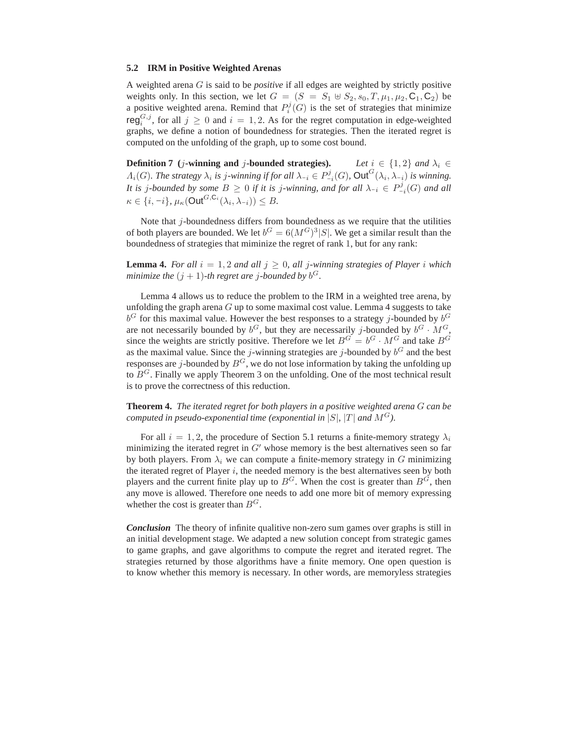#### **5.2 IRM in Positive Weighted Arenas**

A weighted arena G is said to be *positive* if all edges are weighted by strictly positive weights only. In this section, we let  $G = (S = S_1 \oplus S_2, s_0, T, \mu_1, \mu_2, C_1, C_2)$  be a positive weighted arena. Remind that  $P_i^j(G)$  is the set of strategies that minimize reg<sup>*G*,*j*</sup>, for all  $j \ge 0$  and  $i = 1, 2$ . As for the regret computation in edge-weighted graphs, we define a notion of boundedness for strategies. Then the iterated regret is computed on the unfolding of the graph, up to some cost bound.

**Definition 7** (*j***-winning and** *j***-bounded strategies).** *Let*  $i \in \{1, 2\}$  *and*  $\lambda_i \in$  $\Lambda_i(G)$ *. The strategy*  $\lambda_i$  *is j-winning if for all*  $\lambda_{-i} \in P^j_{-i}(G)$ *,* Out<sup> $G$ </sup> $(\lambda_i, \lambda_{-i})$  *is winning. It is j-bounded by some*  $B \geq 0$  *if it is j-winning, and for all*  $\lambda_{-i} \in P^j_{-i}(G)$  *and all*  $\kappa \in \{i, -i\}, \, \mu_{\kappa}(\mathsf{Out}^{G, \mathsf{C}_i}(\lambda_i, \lambda_{-i})) \leq B.$ 

Note that  $j$ -boundedness differs from boundedness as we require that the utilities of both players are bounded. We let  $b^G = 6(M^G)^3 |S|$ . We get a similar result than the boundedness of strategies that miminize the regret of rank 1, but for any rank:

**Lemma 4.** For all  $i = 1, 2$  and all  $j \geq 0$ , all j-winning strategies of Player i which *minimize the*  $(j + 1)$ -th regret are j-bounded by  $b^G$ .

Lemma 4 allows us to reduce the problem to the IRM in a weighted tree arena, by unfolding the graph arena  $G$  up to some maximal cost value. Lemma 4 suggests to take  $b^G$  for this maximal value. However the best responses to a strategy j-bounded by  $b^G$ are not necessarily bounded by  $b^G$ , but they are necessarily j-bounded by  $b^G \cdot M^G$ , since the weights are strictly positive. Therefore we let  $B^G = b^G \cdot M^G$  and take  $B^G$ as the maximal value. Since the *j*-winning strategies are *j*-bounded by  $b^G$  and the best responses are *j*-bounded by  $B^G$ , we do not lose information by taking the unfolding up to  $B<sup>G</sup>$ . Finally we apply Theorem 3 on the unfolding. One of the most technical result is to prove the correctness of this reduction.

**Theorem 4.** *The iterated regret for both players in a positive weighted arena* G *can be computed in pseudo-exponential time (exponential in* |S|, |T| and  $M<sup>G</sup>$ ).

For all  $i = 1, 2$ , the procedure of Section 5.1 returns a finite-memory strategy  $\lambda_i$ minimizing the iterated regret in  $G'$  whose memory is the best alternatives seen so far by both players. From  $\lambda_i$  we can compute a finite-memory strategy in G minimizing the iterated regret of Player  $i$ , the needed memory is the best alternatives seen by both players and the current finite play up to  $B^G$ . When the cost is greater than  $B^G$ , then any move is allowed. Therefore one needs to add one more bit of memory expressing whether the cost is greater than  $B<sup>G</sup>$ .

*Conclusion* The theory of infinite qualitive non-zero sum games over graphs is still in an initial development stage. We adapted a new solution concept from strategic games to game graphs, and gave algorithms to compute the regret and iterated regret. The strategies returned by those algorithms have a finite memory. One open question is to know whether this memory is necessary. In other words, are memoryless strategies